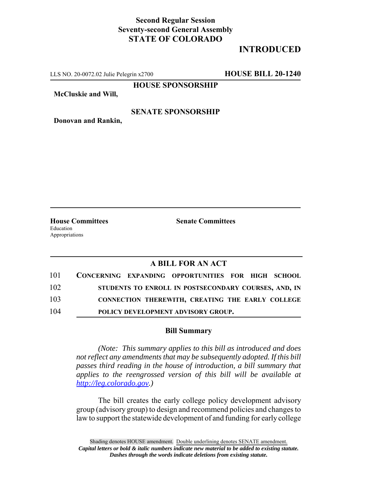## **Second Regular Session Seventy-second General Assembly STATE OF COLORADO**

## **INTRODUCED**

LLS NO. 20-0072.02 Julie Pelegrin x2700 **HOUSE BILL 20-1240**

**HOUSE SPONSORSHIP**

**McCluskie and Will,**

#### **SENATE SPONSORSHIP**

**Donovan and Rankin,**

Education Appropriations

**House Committees Senate Committees**

### **A BILL FOR AN ACT**

| 101 |  | CONCERNING EXPANDING OPPORTUNITIES FOR HIGH SCHOOL   |  |  |
|-----|--|------------------------------------------------------|--|--|
| 102 |  | STUDENTS TO ENROLL IN POSTSECONDARY COURSES, AND, IN |  |  |
| 103 |  | CONNECTION THEREWITH, CREATING THE EARLY COLLEGE     |  |  |
| 104 |  | POLICY DEVELOPMENT ADVISORY GROUP.                   |  |  |

#### **Bill Summary**

*(Note: This summary applies to this bill as introduced and does not reflect any amendments that may be subsequently adopted. If this bill passes third reading in the house of introduction, a bill summary that applies to the reengrossed version of this bill will be available at http://leg.colorado.gov.)*

The bill creates the early college policy development advisory group (advisory group) to design and recommend policies and changes to law to support the statewide development of and funding for early college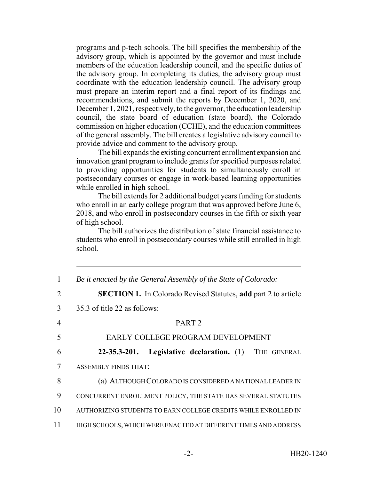programs and p-tech schools. The bill specifies the membership of the advisory group, which is appointed by the governor and must include members of the education leadership council, and the specific duties of the advisory group. In completing its duties, the advisory group must coordinate with the education leadership council. The advisory group must prepare an interim report and a final report of its findings and recommendations, and submit the reports by December 1, 2020, and December 1, 2021, respectively, to the governor, the education leadership council, the state board of education (state board), the Colorado commission on higher education (CCHE), and the education committees of the general assembly. The bill creates a legislative advisory council to provide advice and comment to the advisory group.

The bill expands the existing concurrent enrollment expansion and innovation grant program to include grants for specified purposes related to providing opportunities for students to simultaneously enroll in postsecondary courses or engage in work-based learning opportunities while enrolled in high school.

The bill extends for 2 additional budget years funding for students who enroll in an early college program that was approved before June 6, 2018, and who enroll in postsecondary courses in the fifth or sixth year of high school.

The bill authorizes the distribution of state financial assistance to students who enroll in postsecondary courses while still enrolled in high school.

| 1              | Be it enacted by the General Assembly of the State of Colorado:       |  |  |  |  |  |
|----------------|-----------------------------------------------------------------------|--|--|--|--|--|
| $\overline{2}$ | <b>SECTION 1.</b> In Colorado Revised Statutes, add part 2 to article |  |  |  |  |  |
| 3              | 35.3 of title 22 as follows:                                          |  |  |  |  |  |
| 4              | PART <sub>2</sub>                                                     |  |  |  |  |  |
| 5              | EARLY COLLEGE PROGRAM DEVELOPMENT                                     |  |  |  |  |  |
| 6              | Legislative declaration. (1) THE GENERAL<br>$22 - 35.3 - 201.$        |  |  |  |  |  |
| 7              | <b>ASSEMBLY FINDS THAT:</b>                                           |  |  |  |  |  |
| 8              | (a) ALTHOUGH COLORADO IS CONSIDERED A NATIONAL LEADER IN              |  |  |  |  |  |
| 9              | CONCURRENT ENROLLMENT POLICY, THE STATE HAS SEVERAL STATUTES          |  |  |  |  |  |
| 10             | AUTHORIZING STUDENTS TO EARN COLLEGE CREDITS WHILE ENROLLED IN        |  |  |  |  |  |
| 11             | HIGH SCHOOLS, WHICH WERE ENACTED AT DIFFERENT TIMES AND ADDRESS       |  |  |  |  |  |
|                |                                                                       |  |  |  |  |  |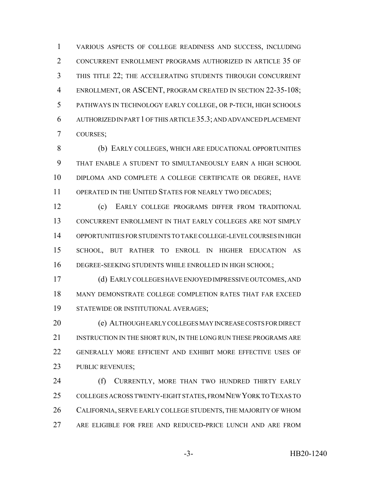VARIOUS ASPECTS OF COLLEGE READINESS AND SUCCESS, INCLUDING CONCURRENT ENROLLMENT PROGRAMS AUTHORIZED IN ARTICLE 35 OF THIS TITLE 22; THE ACCELERATING STUDENTS THROUGH CONCURRENT 4 ENROLLMENT, OR ASCENT, PROGRAM CREATED IN SECTION 22-35-108; PATHWAYS IN TECHNOLOGY EARLY COLLEGE, OR P-TECH, HIGH SCHOOLS AUTHORIZED IN PART 1 OF THIS ARTICLE 35.3; AND ADVANCED PLACEMENT COURSES;

8 (b) EARLY COLLEGES, WHICH ARE EDUCATIONAL OPPORTUNITIES THAT ENABLE A STUDENT TO SIMULTANEOUSLY EARN A HIGH SCHOOL DIPLOMA AND COMPLETE A COLLEGE CERTIFICATE OR DEGREE, HAVE 11 OPERATED IN THE UNITED STATES FOR NEARLY TWO DECADES;

 (c) EARLY COLLEGE PROGRAMS DIFFER FROM TRADITIONAL CONCURRENT ENROLLMENT IN THAT EARLY COLLEGES ARE NOT SIMPLY OPPORTUNITIES FOR STUDENTS TO TAKE COLLEGE-LEVEL COURSES IN HIGH SCHOOL, BUT RATHER TO ENROLL IN HIGHER EDUCATION AS DEGREE-SEEKING STUDENTS WHILE ENROLLED IN HIGH SCHOOL;

 (d) EARLY COLLEGES HAVE ENJOYED IMPRESSIVE OUTCOMES, AND MANY DEMONSTRATE COLLEGE COMPLETION RATES THAT FAR EXCEED STATEWIDE OR INSTITUTIONAL AVERAGES;

 (e) ALTHOUGH EARLY COLLEGES MAY INCREASE COSTS FOR DIRECT INSTRUCTION IN THE SHORT RUN, IN THE LONG RUN THESE PROGRAMS ARE GENERALLY MORE EFFICIENT AND EXHIBIT MORE EFFECTIVE USES OF PUBLIC REVENUES;

24 (f) CURRENTLY, MORE THAN TWO HUNDRED THIRTY EARLY COLLEGES ACROSS TWENTY-EIGHT STATES, FROM NEW YORK TO TEXAS TO CALIFORNIA, SERVE EARLY COLLEGE STUDENTS, THE MAJORITY OF WHOM ARE ELIGIBLE FOR FREE AND REDUCED-PRICE LUNCH AND ARE FROM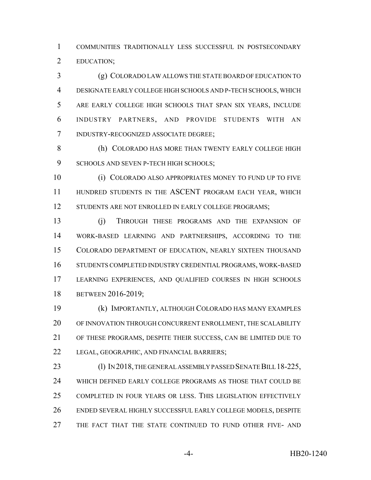COMMUNITIES TRADITIONALLY LESS SUCCESSFUL IN POSTSECONDARY EDUCATION;

 (g) COLORADO LAW ALLOWS THE STATE BOARD OF EDUCATION TO DESIGNATE EARLY COLLEGE HIGH SCHOOLS AND P-TECH SCHOOLS, WHICH ARE EARLY COLLEGE HIGH SCHOOLS THAT SPAN SIX YEARS, INCLUDE INDUSTRY PARTNERS, AND PROVIDE STUDENTS WITH AN INDUSTRY-RECOGNIZED ASSOCIATE DEGREE;

8 (h) COLORADO HAS MORE THAN TWENTY EARLY COLLEGE HIGH 9 SCHOOLS AND SEVEN P-TECH HIGH SCHOOLS;

 (i) COLORADO ALSO APPROPRIATES MONEY TO FUND UP TO FIVE 11 HUNDRED STUDENTS IN THE ASCENT PROGRAM EACH YEAR, WHICH 12 STUDENTS ARE NOT ENROLLED IN EARLY COLLEGE PROGRAMS;

 (j) THROUGH THESE PROGRAMS AND THE EXPANSION OF WORK-BASED LEARNING AND PARTNERSHIPS, ACCORDING TO THE COLORADO DEPARTMENT OF EDUCATION, NEARLY SIXTEEN THOUSAND STUDENTS COMPLETED INDUSTRY CREDENTIAL PROGRAMS, WORK-BASED LEARNING EXPERIENCES, AND QUALIFIED COURSES IN HIGH SCHOOLS BETWEEN 2016-2019;

 (k) IMPORTANTLY, ALTHOUGH COLORADO HAS MANY EXAMPLES OF INNOVATION THROUGH CONCURRENT ENROLLMENT, THE SCALABILITY OF THESE PROGRAMS, DESPITE THEIR SUCCESS, CAN BE LIMITED DUE TO LEGAL, GEOGRAPHIC, AND FINANCIAL BARRIERS;

23 (l) IN 2018, THE GENERAL ASSEMBLY PASSED SENATE BILL 18-225, WHICH DEFINED EARLY COLLEGE PROGRAMS AS THOSE THAT COULD BE COMPLETED IN FOUR YEARS OR LESS. THIS LEGISLATION EFFECTIVELY ENDED SEVERAL HIGHLY SUCCESSFUL EARLY COLLEGE MODELS, DESPITE THE FACT THAT THE STATE CONTINUED TO FUND OTHER FIVE- AND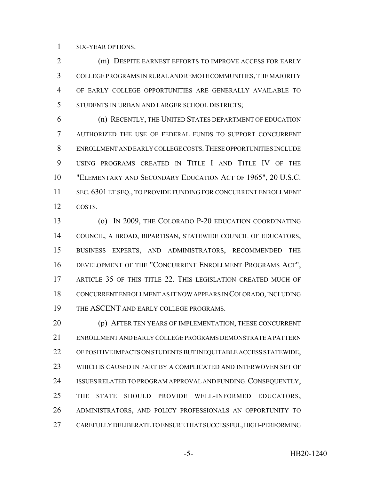SIX-YEAR OPTIONS.

 (m) DESPITE EARNEST EFFORTS TO IMPROVE ACCESS FOR EARLY COLLEGE PROGRAMS IN RURAL AND REMOTE COMMUNITIES, THE MAJORITY OF EARLY COLLEGE OPPORTUNITIES ARE GENERALLY AVAILABLE TO STUDENTS IN URBAN AND LARGER SCHOOL DISTRICTS;

 (n) RECENTLY, THE UNITED STATES DEPARTMENT OF EDUCATION AUTHORIZED THE USE OF FEDERAL FUNDS TO SUPPORT CONCURRENT ENROLLMENT AND EARLY COLLEGE COSTS.THESE OPPORTUNITIES INCLUDE USING PROGRAMS CREATED IN TITLE I AND TITLE IV OF THE "ELEMENTARY AND SECONDARY EDUCATION ACT OF 1965", 20 U.S.C. 11 SEC. 6301 ET SEQ., TO PROVIDE FUNDING FOR CONCURRENT ENROLLMENT COSTS.

 (o) IN 2009, THE COLORADO P-20 EDUCATION COORDINATING COUNCIL, A BROAD, BIPARTISAN, STATEWIDE COUNCIL OF EDUCATORS, BUSINESS EXPERTS, AND ADMINISTRATORS, RECOMMENDED THE DEVELOPMENT OF THE "CONCURRENT ENROLLMENT PROGRAMS ACT", ARTICLE 35 OF THIS TITLE 22. THIS LEGISLATION CREATED MUCH OF CONCURRENT ENROLLMENT AS IT NOW APPEARS IN COLORADO, INCLUDING 19 THE ASCENT AND EARLY COLLEGE PROGRAMS.

 (p) AFTER TEN YEARS OF IMPLEMENTATION, THESE CONCURRENT ENROLLMENT AND EARLY COLLEGE PROGRAMS DEMONSTRATE A PATTERN OF POSITIVE IMPACTS ON STUDENTS BUT INEQUITABLE ACCESS STATEWIDE, WHICH IS CAUSED IN PART BY A COMPLICATED AND INTERWOVEN SET OF 24 ISSUES RELATED TO PROGRAM APPROVAL AND FUNDING. CONSEQUENTLY, 25 THE STATE SHOULD PROVIDE WELL-INFORMED EDUCATORS, ADMINISTRATORS, AND POLICY PROFESSIONALS AN OPPORTUNITY TO CAREFULLY DELIBERATE TO ENSURE THAT SUCCESSFUL, HIGH-PERFORMING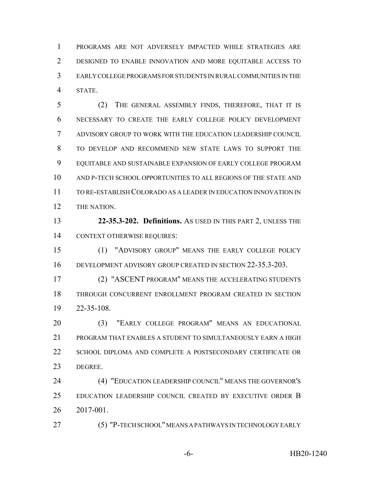PROGRAMS ARE NOT ADVERSELY IMPACTED WHILE STRATEGIES ARE DESIGNED TO ENABLE INNOVATION AND MORE EQUITABLE ACCESS TO EARLY COLLEGE PROGRAMS FOR STUDENTS IN RURAL COMMUNITIES IN THE STATE.

 (2) THE GENERAL ASSEMBLY FINDS, THEREFORE, THAT IT IS NECESSARY TO CREATE THE EARLY COLLEGE POLICY DEVELOPMENT ADVISORY GROUP TO WORK WITH THE EDUCATION LEADERSHIP COUNCIL TO DEVELOP AND RECOMMEND NEW STATE LAWS TO SUPPORT THE EQUITABLE AND SUSTAINABLE EXPANSION OF EARLY COLLEGE PROGRAM AND P-TECH SCHOOL OPPORTUNITIES TO ALL REGIONS OF THE STATE AND TO RE-ESTABLISH COLORADO AS A LEADER IN EDUCATION INNOVATION IN THE NATION.

 **22-35.3-202. Definitions.** AS USED IN THIS PART 2, UNLESS THE CONTEXT OTHERWISE REQUIRES:

 (1) "ADVISORY GROUP" MEANS THE EARLY COLLEGE POLICY DEVELOPMENT ADVISORY GROUP CREATED IN SECTION 22-35.3-203.

 (2) "ASCENT PROGRAM" MEANS THE ACCELERATING STUDENTS THROUGH CONCURRENT ENROLLMENT PROGRAM CREATED IN SECTION 22-35-108.

 (3) "EARLY COLLEGE PROGRAM" MEANS AN EDUCATIONAL PROGRAM THAT ENABLES A STUDENT TO SIMULTANEOUSLY EARN A HIGH 22 SCHOOL DIPLOMA AND COMPLETE A POSTSECONDARY CERTIFICATE OR DEGREE.

 (4) "EDUCATION LEADERSHIP COUNCIL" MEANS THE GOVERNOR'S EDUCATION LEADERSHIP COUNCIL CREATED BY EXECUTIVE ORDER B 2017-001.

(5) "P-TECH SCHOOL" MEANS A PATHWAYS IN TECHNOLOGY EARLY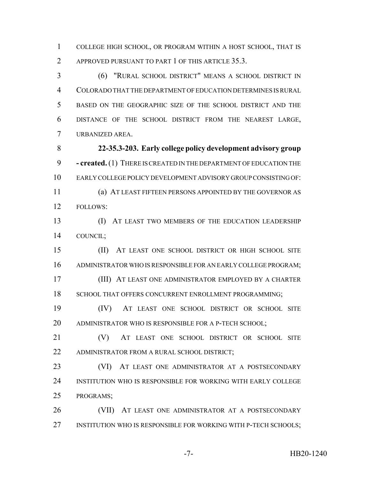COLLEGE HIGH SCHOOL, OR PROGRAM WITHIN A HOST SCHOOL, THAT IS 2 APPROVED PURSUANT TO PART 1 OF THIS ARTICLE 35.3.

 (6) "RURAL SCHOOL DISTRICT" MEANS A SCHOOL DISTRICT IN COLORADO THAT THE DEPARTMENT OF EDUCATION DETERMINES IS RURAL BASED ON THE GEOGRAPHIC SIZE OF THE SCHOOL DISTRICT AND THE DISTANCE OF THE SCHOOL DISTRICT FROM THE NEAREST LARGE, URBANIZED AREA.

 **22-35.3-203. Early college policy development advisory group - created.** (1) THERE IS CREATED IN THE DEPARTMENT OF EDUCATION THE EARLY COLLEGE POLICY DEVELOPMENT ADVISORY GROUP CONSISTING OF: (a) AT LEAST FIFTEEN PERSONS APPOINTED BY THE GOVERNOR AS FOLLOWS:

 (I) AT LEAST TWO MEMBERS OF THE EDUCATION LEADERSHIP COUNCIL;

 (II) AT LEAST ONE SCHOOL DISTRICT OR HIGH SCHOOL SITE ADMINISTRATOR WHO IS RESPONSIBLE FOR AN EARLY COLLEGE PROGRAM;

 (III) AT LEAST ONE ADMINISTRATOR EMPLOYED BY A CHARTER 18 SCHOOL THAT OFFERS CONCURRENT ENROLLMENT PROGRAMMING;

 (IV) AT LEAST ONE SCHOOL DISTRICT OR SCHOOL SITE ADMINISTRATOR WHO IS RESPONSIBLE FOR A P-TECH SCHOOL;

21 (V) AT LEAST ONE SCHOOL DISTRICT OR SCHOOL SITE ADMINISTRATOR FROM A RURAL SCHOOL DISTRICT;

23 (VI) AT LEAST ONE ADMINISTRATOR AT A POSTSECONDARY INSTITUTION WHO IS RESPONSIBLE FOR WORKING WITH EARLY COLLEGE PROGRAMS;

 (VII) AT LEAST ONE ADMINISTRATOR AT A POSTSECONDARY 27 INSTITUTION WHO IS RESPONSIBLE FOR WORKING WITH P-TECH SCHOOLS;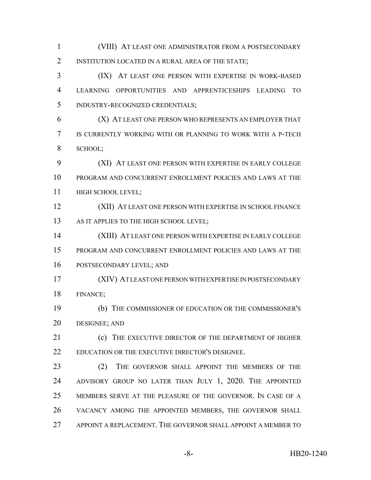(VIII) AT LEAST ONE ADMINISTRATOR FROM A POSTSECONDARY INSTITUTION LOCATED IN A RURAL AREA OF THE STATE; (IX) AT LEAST ONE PERSON WITH EXPERTISE IN WORK-BASED LEARNING OPPORTUNITIES AND APPRENTICESHIPS LEADING TO INDUSTRY-RECOGNIZED CREDENTIALS; (X) AT LEAST ONE PERSON WHO REPRESENTS AN EMPLOYER THAT IS CURRENTLY WORKING WITH OR PLANNING TO WORK WITH A P-TECH SCHOOL; (XI) AT LEAST ONE PERSON WITH EXPERTISE IN EARLY COLLEGE PROGRAM AND CONCURRENT ENROLLMENT POLICIES AND LAWS AT THE **HIGH SCHOOL LEVEL**; (XII) AT LEAST ONE PERSON WITH EXPERTISE IN SCHOOL FINANCE 13 AS IT APPLIES TO THE HIGH SCHOOL LEVEL; (XIII) AT LEAST ONE PERSON WITH EXPERTISE IN EARLY COLLEGE PROGRAM AND CONCURRENT ENROLLMENT POLICIES AND LAWS AT THE POSTSECONDARY LEVEL; AND (XIV) AT LEAST ONE PERSON WITH EXPERTISE IN POSTSECONDARY FINANCE; (b) THE COMMISSIONER OF EDUCATION OR THE COMMISSIONER'S DESIGNEE; AND **(c)** THE EXECUTIVE DIRECTOR OF THE DEPARTMENT OF HIGHER EDUCATION OR THE EXECUTIVE DIRECTOR'S DESIGNEE. 23 (2) THE GOVERNOR SHALL APPOINT THE MEMBERS OF THE ADVISORY GROUP NO LATER THAN JULY 1, 2020. THE APPOINTED MEMBERS SERVE AT THE PLEASURE OF THE GOVERNOR. IN CASE OF A VACANCY AMONG THE APPOINTED MEMBERS, THE GOVERNOR SHALL APPOINT A REPLACEMENT. THE GOVERNOR SHALL APPOINT A MEMBER TO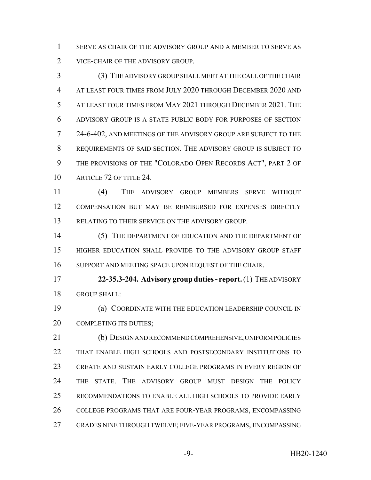SERVE AS CHAIR OF THE ADVISORY GROUP AND A MEMBER TO SERVE AS 2 VICE-CHAIR OF THE ADVISORY GROUP.

 (3) THE ADVISORY GROUP SHALL MEET AT THE CALL OF THE CHAIR AT LEAST FOUR TIMES FROM JULY 2020 THROUGH DECEMBER 2020 AND AT LEAST FOUR TIMES FROM MAY 2021 THROUGH DECEMBER 2021. THE ADVISORY GROUP IS A STATE PUBLIC BODY FOR PURPOSES OF SECTION 24-6-402, AND MEETINGS OF THE ADVISORY GROUP ARE SUBJECT TO THE REQUIREMENTS OF SAID SECTION. THE ADVISORY GROUP IS SUBJECT TO THE PROVISIONS OF THE "COLORADO OPEN RECORDS ACT", PART 2 OF 10 ARTICLE 72 OF TITLE 24.

 (4) THE ADVISORY GROUP MEMBERS SERVE WITHOUT COMPENSATION BUT MAY BE REIMBURSED FOR EXPENSES DIRECTLY RELATING TO THEIR SERVICE ON THE ADVISORY GROUP.

 (5) THE DEPARTMENT OF EDUCATION AND THE DEPARTMENT OF HIGHER EDUCATION SHALL PROVIDE TO THE ADVISORY GROUP STAFF SUPPORT AND MEETING SPACE UPON REQUEST OF THE CHAIR.

 **22-35.3-204. Advisory group duties - report.** (1) THE ADVISORY GROUP SHALL:

 (a) COORDINATE WITH THE EDUCATION LEADERSHIP COUNCIL IN 20 COMPLETING ITS DUTIES;

 (b) DESIGN AND RECOMMEND COMPREHENSIVE, UNIFORM POLICIES THAT ENABLE HIGH SCHOOLS AND POSTSECONDARY INSTITUTIONS TO CREATE AND SUSTAIN EARLY COLLEGE PROGRAMS IN EVERY REGION OF THE STATE. THE ADVISORY GROUP MUST DESIGN THE POLICY RECOMMENDATIONS TO ENABLE ALL HIGH SCHOOLS TO PROVIDE EARLY COLLEGE PROGRAMS THAT ARE FOUR-YEAR PROGRAMS, ENCOMPASSING GRADES NINE THROUGH TWELVE; FIVE-YEAR PROGRAMS, ENCOMPASSING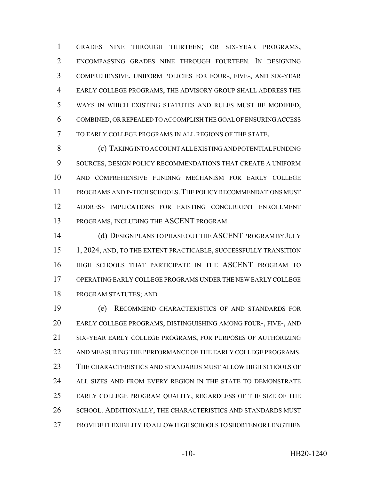GRADES NINE THROUGH THIRTEEN; OR SIX-YEAR PROGRAMS, ENCOMPASSING GRADES NINE THROUGH FOURTEEN. IN DESIGNING COMPREHENSIVE, UNIFORM POLICIES FOR FOUR-, FIVE-, AND SIX-YEAR EARLY COLLEGE PROGRAMS, THE ADVISORY GROUP SHALL ADDRESS THE WAYS IN WHICH EXISTING STATUTES AND RULES MUST BE MODIFIED, COMBINED, OR REPEALED TO ACCOMPLISH THE GOAL OF ENSURING ACCESS TO EARLY COLLEGE PROGRAMS IN ALL REGIONS OF THE STATE.

 (c) TAKING INTO ACCOUNT ALL EXISTING AND POTENTIAL FUNDING SOURCES, DESIGN POLICY RECOMMENDATIONS THAT CREATE A UNIFORM AND COMPREHENSIVE FUNDING MECHANISM FOR EARLY COLLEGE PROGRAMS AND P-TECH SCHOOLS.THE POLICY RECOMMENDATIONS MUST ADDRESS IMPLICATIONS FOR EXISTING CONCURRENT ENROLLMENT PROGRAMS, INCLUDING THE ASCENT PROGRAM.

 (d) DESIGN PLANS TO PHASE OUT THE ASCENT PROGRAM BY JULY 15 1, 2024, AND, TO THE EXTENT PRACTICABLE, SUCCESSFULLY TRANSITION HIGH SCHOOLS THAT PARTICIPATE IN THE ASCENT PROGRAM TO OPERATING EARLY COLLEGE PROGRAMS UNDER THE NEW EARLY COLLEGE PROGRAM STATUTES; AND

 (e) RECOMMEND CHARACTERISTICS OF AND STANDARDS FOR EARLY COLLEGE PROGRAMS, DISTINGUISHING AMONG FOUR-, FIVE-, AND SIX-YEAR EARLY COLLEGE PROGRAMS, FOR PURPOSES OF AUTHORIZING 22 AND MEASURING THE PERFORMANCE OF THE EARLY COLLEGE PROGRAMS. THE CHARACTERISTICS AND STANDARDS MUST ALLOW HIGH SCHOOLS OF ALL SIZES AND FROM EVERY REGION IN THE STATE TO DEMONSTRATE EARLY COLLEGE PROGRAM QUALITY, REGARDLESS OF THE SIZE OF THE 26 SCHOOL. ADDITIONALLY, THE CHARACTERISTICS AND STANDARDS MUST PROVIDE FLEXIBILITY TO ALLOW HIGH SCHOOLS TO SHORTEN OR LENGTHEN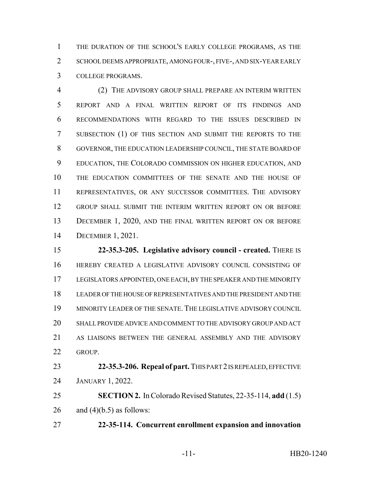THE DURATION OF THE SCHOOL'S EARLY COLLEGE PROGRAMS, AS THE SCHOOL DEEMS APPROPRIATE, AMONG FOUR-, FIVE-, AND SIX-YEAR EARLY COLLEGE PROGRAMS.

 (2) THE ADVISORY GROUP SHALL PREPARE AN INTERIM WRITTEN REPORT AND A FINAL WRITTEN REPORT OF ITS FINDINGS AND RECOMMENDATIONS WITH REGARD TO THE ISSUES DESCRIBED IN SUBSECTION (1) OF THIS SECTION AND SUBMIT THE REPORTS TO THE GOVERNOR, THE EDUCATION LEADERSHIP COUNCIL, THE STATE BOARD OF EDUCATION, THE COLORADO COMMISSION ON HIGHER EDUCATION, AND THE EDUCATION COMMITTEES OF THE SENATE AND THE HOUSE OF REPRESENTATIVES, OR ANY SUCCESSOR COMMITTEES. THE ADVISORY GROUP SHALL SUBMIT THE INTERIM WRITTEN REPORT ON OR BEFORE 13 DECEMBER 1, 2020, AND THE FINAL WRITTEN REPORT ON OR BEFORE DECEMBER 1, 2021.

 **22-35.3-205. Legislative advisory council - created.** THERE IS HEREBY CREATED A LEGISLATIVE ADVISORY COUNCIL CONSISTING OF LEGISLATORS APPOINTED, ONE EACH, BY THE SPEAKER AND THE MINORITY LEADER OF THE HOUSE OF REPRESENTATIVES AND THE PRESIDENT AND THE MINORITY LEADER OF THE SENATE. THE LEGISLATIVE ADVISORY COUNCIL SHALL PROVIDE ADVICE AND COMMENT TO THE ADVISORY GROUP AND ACT AS LIAISONS BETWEEN THE GENERAL ASSEMBLY AND THE ADVISORY GROUP.

 **22-35.3-206. Repeal of part.** THIS PART 2 IS REPEALED, EFFECTIVE JANUARY 1, 2022.

 **SECTION 2.** In Colorado Revised Statutes, 22-35-114, **add** (1.5) 26 and  $(4)(b.5)$  as follows:

**22-35-114. Concurrent enrollment expansion and innovation**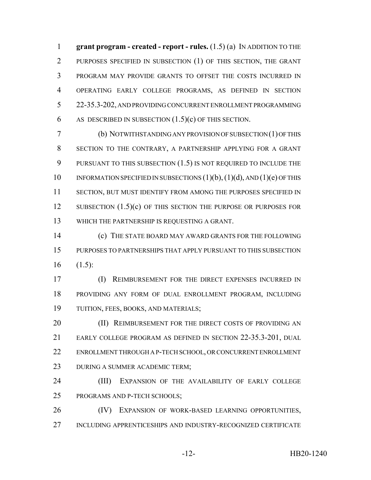**grant program - created - report - rules.** (1.5) (a) IN ADDITION TO THE PURPOSES SPECIFIED IN SUBSECTION (1) OF THIS SECTION, THE GRANT PROGRAM MAY PROVIDE GRANTS TO OFFSET THE COSTS INCURRED IN OPERATING EARLY COLLEGE PROGRAMS, AS DEFINED IN SECTION 22-35.3-202, AND PROVIDING CONCURRENT ENROLLMENT PROGRAMMING 6 AS DESCRIBED IN SUBSECTION  $(1.5)(c)$  OF THIS SECTION.

 (b) NOTWITHSTANDING ANY PROVISION OF SUBSECTION (1) OF THIS SECTION TO THE CONTRARY, A PARTNERSHIP APPLYING FOR A GRANT PURSUANT TO THIS SUBSECTION (1.5) IS NOT REQUIRED TO INCLUDE THE 10 INFORMATION SPECIFIED IN SUBSECTIONS  $(1)(b)$ ,  $(1)(d)$ , AND  $(1)(e)$  OF THIS SECTION, BUT MUST IDENTIFY FROM AMONG THE PURPOSES SPECIFIED IN 12 SUBSECTION (1.5)(c) OF THIS SECTION THE PURPOSE OR PURPOSES FOR WHICH THE PARTNERSHIP IS REQUESTING A GRANT.

 (c) THE STATE BOARD MAY AWARD GRANTS FOR THE FOLLOWING PURPOSES TO PARTNERSHIPS THAT APPLY PURSUANT TO THIS SUBSECTION  $16 \t(1.5)$ :

 (I) REIMBURSEMENT FOR THE DIRECT EXPENSES INCURRED IN PROVIDING ANY FORM OF DUAL ENROLLMENT PROGRAM, INCLUDING TUITION, FEES, BOOKS, AND MATERIALS;

**(II) REIMBURSEMENT FOR THE DIRECT COSTS OF PROVIDING AN**  EARLY COLLEGE PROGRAM AS DEFINED IN SECTION 22-35.3-201, DUAL ENROLLMENT THROUGH A P-TECH SCHOOL, OR CONCURRENT ENROLLMENT DURING A SUMMER ACADEMIC TERM;

 (III) EXPANSION OF THE AVAILABILITY OF EARLY COLLEGE PROGRAMS AND P-TECH SCHOOLS;

26 (IV) EXPANSION OF WORK-BASED LEARNING OPPORTUNITIES, INCLUDING APPRENTICESHIPS AND INDUSTRY-RECOGNIZED CERTIFICATE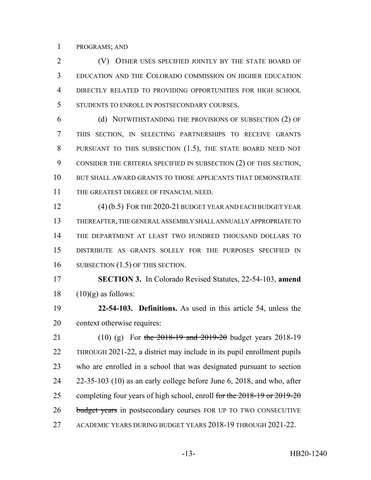PROGRAMS; AND

 (V) OTHER USES SPECIFIED JOINTLY BY THE STATE BOARD OF EDUCATION AND THE COLORADO COMMISSION ON HIGHER EDUCATION DIRECTLY RELATED TO PROVIDING OPPORTUNITIES FOR HIGH SCHOOL STUDENTS TO ENROLL IN POSTSECONDARY COURSES.

 (d) NOTWITHSTANDING THE PROVISIONS OF SUBSECTION (2) OF THIS SECTION, IN SELECTING PARTNERSHIPS TO RECEIVE GRANTS 8 PURSUANT TO THIS SUBSECTION (1.5), THE STATE BOARD NEED NOT CONSIDER THE CRITERIA SPECIFIED IN SUBSECTION (2) OF THIS SECTION, BUT SHALL AWARD GRANTS TO THOSE APPLICANTS THAT DEMONSTRATE THE GREATEST DEGREE OF FINANCIAL NEED.

12 (4) (b.5) FOR THE 2020-21 BUDGET YEAR AND EACH BUDGET YEAR THEREAFTER, THE GENERAL ASSEMBLY SHALL ANNUALLY APPROPRIATE TO THE DEPARTMENT AT LEAST TWO HUNDRED THOUSAND DOLLARS TO DISTRIBUTE AS GRANTS SOLELY FOR THE PURPOSES SPECIFIED IN 16 SUBSECTION (1.5) OF THIS SECTION.

 **SECTION 3.** In Colorado Revised Statutes, 22-54-103, **amend** 18  $(10)(g)$  as follows:

 **22-54-103. Definitions.** As used in this article 54, unless the context otherwise requires:

21 (10) (g) For the 2018-19 and 2019-20 budget years 2018-19 THROUGH 2021-22, a district may include in its pupil enrollment pupils who are enrolled in a school that was designated pursuant to section 22-35-103 (10) as an early college before June 6, 2018, and who, after 25 completing four years of high school, enroll for the 2018-19 or 2019-20 26 budget years in postsecondary courses FOR UP TO TWO CONSECUTIVE ACADEMIC YEARS DURING BUDGET YEARS 2018-19 THROUGH 2021-22.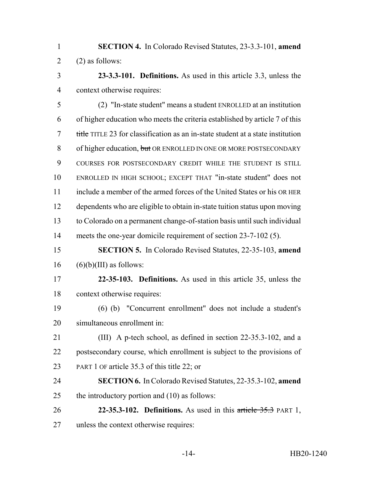- **SECTION 4.** In Colorado Revised Statutes, 23-3.3-101, **amend** 2 (2) as follows:
- **23-3.3-101. Definitions.** As used in this article 3.3, unless the context otherwise requires:

 (2) "In-state student" means a student ENROLLED at an institution of higher education who meets the criteria established by article 7 of this title TITLE 23 for classification as an in-state student at a state institution 8 of higher education, but OR ENROLLED IN ONE OR MORE POSTSECONDARY COURSES FOR POSTSECONDARY CREDIT WHILE THE STUDENT IS STILL ENROLLED IN HIGH SCHOOL; EXCEPT THAT "in-state student" does not include a member of the armed forces of the United States or his OR HER dependents who are eligible to obtain in-state tuition status upon moving to Colorado on a permanent change-of-station basis until such individual meets the one-year domicile requirement of section 23-7-102 (5).

# **SECTION 5.** In Colorado Revised Statutes, 22-35-103, **amend** (6)(b)(III) as follows:

- **22-35-103. Definitions.** As used in this article 35, unless the context otherwise requires:
- (6) (b) "Concurrent enrollment" does not include a student's simultaneous enrollment in:
- (III) A p-tech school, as defined in section 22-35.3-102, and a postsecondary course, which enrollment is subject to the provisions of PART 1 OF article 35.3 of this title 22; or
- **SECTION 6.** In Colorado Revised Statutes, 22-35.3-102, **amend** the introductory portion and (10) as follows:
- **22-35.3-102. Definitions.** As used in this article 35.3 PART 1, unless the context otherwise requires: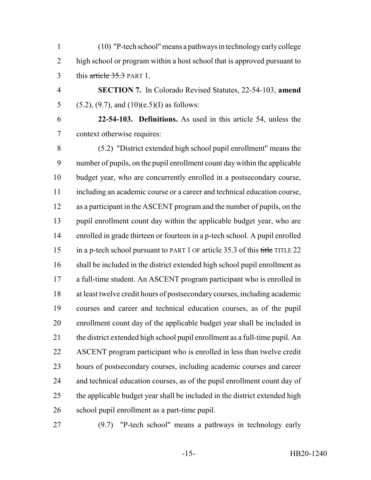(10) "P-tech school" means a pathways in technology early college high school or program within a host school that is approved pursuant to 3 this article 35.3 PART 1.

 **SECTION 7.** In Colorado Revised Statutes, 22-54-103, **amend** 5 (5.2), (9.7), and (10)(e.5)(I) as follows:

 **22-54-103. Definitions.** As used in this article 54, unless the context otherwise requires:

 (5.2) "District extended high school pupil enrollment" means the number of pupils, on the pupil enrollment count day within the applicable budget year, who are concurrently enrolled in a postsecondary course, including an academic course or a career and technical education course, as a participant in the ASCENT program and the number of pupils, on the pupil enrollment count day within the applicable budget year, who are enrolled in grade thirteen or fourteen in a p-tech school. A pupil enrolled 15 in a p-tech school pursuant to PART 1 OF article 35.3 of this title TITLE 22 shall be included in the district extended high school pupil enrollment as a full-time student. An ASCENT program participant who is enrolled in at least twelve credit hours of postsecondary courses, including academic courses and career and technical education courses, as of the pupil enrollment count day of the applicable budget year shall be included in the district extended high school pupil enrollment as a full-time pupil. An ASCENT program participant who is enrolled in less than twelve credit hours of postsecondary courses, including academic courses and career and technical education courses, as of the pupil enrollment count day of the applicable budget year shall be included in the district extended high school pupil enrollment as a part-time pupil.

(9.7) "P-tech school" means a pathways in technology early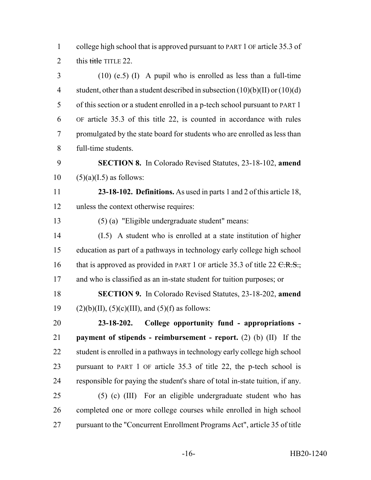college high school that is approved pursuant to PART 1 OF article 35.3 of 2 this  $\frac{t}{t}$  this title TITLE 22.

 (10) (e.5) (I) A pupil who is enrolled as less than a full-time 4 student, other than a student described in subsection  $(10)(b)(II)$  or  $(10)(d)$  of this section or a student enrolled in a p-tech school pursuant to PART 1 OF article 35.3 of this title 22, is counted in accordance with rules promulgated by the state board for students who are enrolled as less than full-time students.

 **SECTION 8.** In Colorado Revised Statutes, 23-18-102, **amend**  $10 \quad (5)(a)(I.5)$  as follows:

 **23-18-102. Definitions.** As used in parts 1 and 2 of this article 18, unless the context otherwise requires:

(5) (a) "Eligible undergraduate student" means:

 (I.5) A student who is enrolled at a state institution of higher education as part of a pathways in technology early college high school 16 that is approved as provided in PART 1 OF article 35.3 of title 22  $C.R.S.,$ 17 and who is classified as an in-state student for tuition purposes; or

 **SECTION 9.** In Colorado Revised Statutes, 23-18-202, **amend** 19 (2)(b)(II),  $(5)(c)$ (III), and  $(5)(f)$  as follows:

 **23-18-202. College opportunity fund - appropriations - payment of stipends - reimbursement - report.** (2) (b) (II) If the 22 student is enrolled in a pathways in technology early college high school pursuant to PART 1 OF article 35.3 of title 22, the p-tech school is responsible for paying the student's share of total in-state tuition, if any. (5) (c) (III) For an eligible undergraduate student who has

 completed one or more college courses while enrolled in high school pursuant to the "Concurrent Enrollment Programs Act", article 35 of title